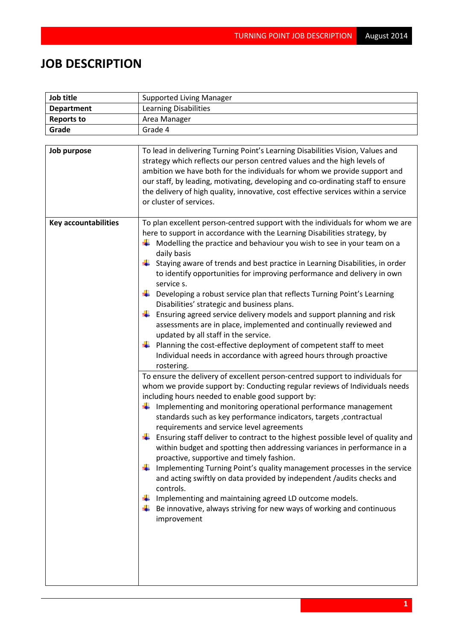## **JOB DESCRIPTION**

| Job title                                  | <b>Supported Living Manager</b>                                                                                                                                                                                                                                                                                                                                                                                                                                                                                                                                                                                                                                                                                                                                                                                                                                                                                                                                                                                                                                                                                                                                                                                                                                                                                                                                                                                                                                                                                                                                                                                                                                                                                                                                                      |  |  |
|--------------------------------------------|--------------------------------------------------------------------------------------------------------------------------------------------------------------------------------------------------------------------------------------------------------------------------------------------------------------------------------------------------------------------------------------------------------------------------------------------------------------------------------------------------------------------------------------------------------------------------------------------------------------------------------------------------------------------------------------------------------------------------------------------------------------------------------------------------------------------------------------------------------------------------------------------------------------------------------------------------------------------------------------------------------------------------------------------------------------------------------------------------------------------------------------------------------------------------------------------------------------------------------------------------------------------------------------------------------------------------------------------------------------------------------------------------------------------------------------------------------------------------------------------------------------------------------------------------------------------------------------------------------------------------------------------------------------------------------------------------------------------------------------------------------------------------------------|--|--|
| <b>Department</b>                          | <b>Learning Disabilities</b>                                                                                                                                                                                                                                                                                                                                                                                                                                                                                                                                                                                                                                                                                                                                                                                                                                                                                                                                                                                                                                                                                                                                                                                                                                                                                                                                                                                                                                                                                                                                                                                                                                                                                                                                                         |  |  |
| <b>Reports to</b>                          | Area Manager                                                                                                                                                                                                                                                                                                                                                                                                                                                                                                                                                                                                                                                                                                                                                                                                                                                                                                                                                                                                                                                                                                                                                                                                                                                                                                                                                                                                                                                                                                                                                                                                                                                                                                                                                                         |  |  |
| Grade                                      | Grade 4                                                                                                                                                                                                                                                                                                                                                                                                                                                                                                                                                                                                                                                                                                                                                                                                                                                                                                                                                                                                                                                                                                                                                                                                                                                                                                                                                                                                                                                                                                                                                                                                                                                                                                                                                                              |  |  |
|                                            |                                                                                                                                                                                                                                                                                                                                                                                                                                                                                                                                                                                                                                                                                                                                                                                                                                                                                                                                                                                                                                                                                                                                                                                                                                                                                                                                                                                                                                                                                                                                                                                                                                                                                                                                                                                      |  |  |
| Job purpose<br><b>Key accountabilities</b> | To lead in delivering Turning Point's Learning Disabilities Vision, Values and<br>strategy which reflects our person centred values and the high levels of<br>ambition we have both for the individuals for whom we provide support and<br>our staff, by leading, motivating, developing and co-ordinating staff to ensure<br>the delivery of high quality, innovative, cost effective services within a service<br>or cluster of services.<br>To plan excellent person-centred support with the individuals for whom we are                                                                                                                                                                                                                                                                                                                                                                                                                                                                                                                                                                                                                                                                                                                                                                                                                                                                                                                                                                                                                                                                                                                                                                                                                                                         |  |  |
|                                            | here to support in accordance with the Learning Disabilities strategy, by<br>$\frac{1}{2}$ Modelling the practice and behaviour you wish to see in your team on a<br>daily basis<br>Staying aware of trends and best practice in Learning Disabilities, in order<br>to identify opportunities for improving performance and delivery in own<br>service s.<br>Developing a robust service plan that reflects Turning Point's Learning<br>Disabilities' strategic and business plans.<br>Ensuring agreed service delivery models and support planning and risk<br>assessments are in place, implemented and continually reviewed and<br>updated by all staff in the service.<br>Planning the cost-effective deployment of competent staff to meet<br>Individual needs in accordance with agreed hours through proactive<br>rostering.<br>To ensure the delivery of excellent person-centred support to individuals for<br>whom we provide support by: Conducting regular reviews of Individuals needs<br>including hours needed to enable good support by:<br>Implementing and monitoring operational performance management<br>۰.<br>standards such as key performance indicators, targets , contractual<br>requirements and service level agreements<br>Ensuring staff deliver to contract to the highest possible level of quality and<br>within budget and spotting then addressing variances in performance in a<br>proactive, supportive and timely fashion.<br>Implementing Turning Point's quality management processes in the service<br>and acting swiftly on data provided by independent /audits checks and<br>controls.<br>Implementing and maintaining agreed LD outcome models.<br>Be innovative, always striving for new ways of working and continuous<br>improvement |  |  |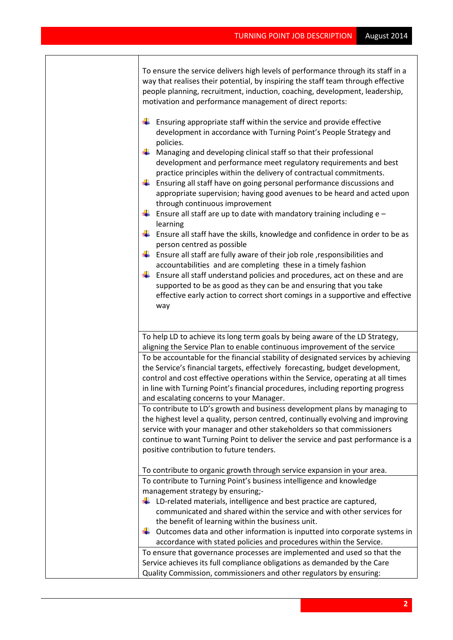To ensure the service delivers high levels of performance through its staff in a way that realises their potential, by inspiring the staff team through effective people planning, recruitment, induction, coaching, development, leadership, motivation and performance management of direct reports:

- $\frac{1}{\sqrt{2}}$  Ensuring appropriate staff within the service and provide effective development in accordance with Turning Point's People Strategy and policies.
- $\downarrow$  Managing and developing clinical staff so that their professional development and performance meet regulatory requirements and best practice principles within the delivery of contractual commitments.
- $\ddot{\phantom{1}}$  Ensuring all staff have on going personal performance discussions and appropriate supervision; having good avenues to be heard and acted upon through continuous improvement
- **Ensure all staff are up to date with mandatory training including e** learning
- $\ddot{+}$  Ensure all staff have the skills, knowledge and confidence in order to be as person centred as possible
- **Ensure all staff are fully aware of their job role, responsibilities and** accountabilities and are completing these in a timely fashion
- $\ddot{\phantom{1}}$  Ensure all staff understand policies and procedures, act on these and are supported to be as good as they can be and ensuring that you take effective early action to correct short comings in a supportive and effective way

To help LD to achieve its long term goals by being aware of the LD Strategy, aligning the Service Plan to enable continuous improvement of the service To be accountable for the financial stability of designated services by achieving the Service's financial targets, effectively forecasting, budget development, control and cost effective operations within the Service, operating at all times in line with Turning Point's financial procedures, including reporting progress and escalating concerns to your Manager.

To contribute to LD's growth and business development plans by managing to the highest level a quality, person centred, continually evolving and improving service with your manager and other stakeholders so that commissioners continue to want Turning Point to deliver the service and past performance is a positive contribution to future tenders.

To contribute to organic growth through service expansion in your area. To contribute to Turning Point's business intelligence and knowledge management strategy by ensuring;-

- $\downarrow$  LD-related materials, intelligence and best practice are captured, communicated and shared within the service and with other services for the benefit of learning within the business unit.
- $\ddot{\phantom{1}}$  Outcomes data and other information is inputted into corporate systems in accordance with stated policies and procedures within the Service.

To ensure that governance processes are implemented and used so that the Service achieves its full compliance obligations as demanded by the Care Quality Commission, commissioners and other regulators by ensuring: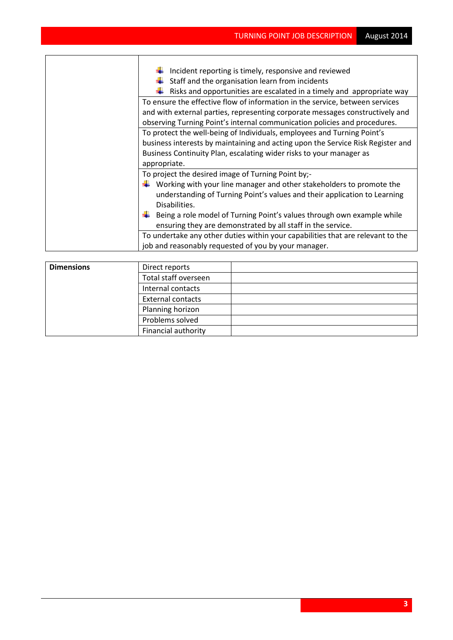| Incident reporting is timely, responsive and reviewed<br>Staff and the organisation learn from incidents<br>Risks and opportunities are escalated in a timely and appropriate way                                                                                                |
|----------------------------------------------------------------------------------------------------------------------------------------------------------------------------------------------------------------------------------------------------------------------------------|
| To ensure the effective flow of information in the service, between services<br>and with external parties, representing corporate messages constructively and<br>observing Turning Point's internal communication policies and procedures.                                       |
| To protect the well-being of Individuals, employees and Turning Point's<br>business interests by maintaining and acting upon the Service Risk Register and<br>Business Continuity Plan, escalating wider risks to your manager as<br>appropriate.                                |
| To project the desired image of Turning Point by;-<br>Working with your line manager and other stakeholders to promote the<br>understanding of Turning Point's values and their application to Learning<br>Disabilities.                                                         |
| Being a role model of Turning Point's values through own example while<br>ensuring they are demonstrated by all staff in the service.<br>To undertake any other duties within your capabilities that are relevant to the<br>job and reasonably requested of you by your manager. |

| <b>Dimensions</b> | Direct reports             |  |
|-------------------|----------------------------|--|
|                   | Total staff overseen       |  |
|                   | Internal contacts          |  |
|                   | <b>External contacts</b>   |  |
|                   | Planning horizon           |  |
|                   | Problems solved            |  |
|                   | <b>Financial authority</b> |  |